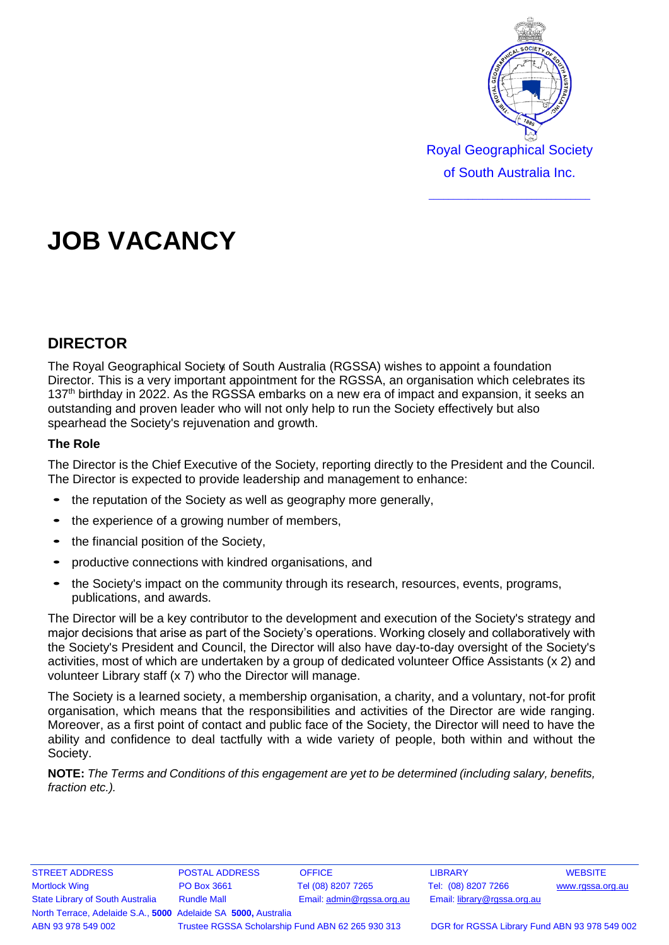

Royal Geographical Society of South Australia Inc.

 $\_$ 

# **JOB VACANCY**

## **DIRECTOR**

h The Royal Geographical Society of South Australia (RGSSA) wishes to appoint a foundation Director. This is a very important appointment for the RGSSA, an organisation which celebrates its 137<sup>th</sup> birthday in 2022. As the RGSSA embarks on a new era of impact and expansion, it seeks an outstanding and proven leader who will not only help to run the Society effectively but also spearhead the Society's rejuvenation and growth.

### **The Role**

The Director is the Chief Executive of the Society, reporting directly to the President and the Council. The Director is expected to provide leadership and management to enhance:

- the reputation of the Society as well as geography more generally,
- the experience of a growing number of members,
- the financial position of the Society,
- productive connections with kindred organisations, and
- the Society's impact on the community through its research, resources, events, programs, publications, and awards.

The Director will be a key contributor to the development and execution of the Society's strategy and major decisions that arise as part of the Society's operations. Working closely and collaboratively with the Society's President and Council, the Director will also have day-to-day oversight of the Society's activities, most of which are undertaken by a group of dedicated volunteer Office Assistants (x 2) and volunteer Library staff (x 7) who the Director will manage.

The Society is a learned society, a membership organisation, a charity, and a voluntary, not-for profit organisation, which means that the responsibilities and activities of the Director are wide ranging. Moreover, as a first point of contact and public face of the Society, the Director will need to have the ability and confidence to deal tactfully with a wide variety of people, both within and without the Society.

**NOTE:** *The Terms and Conditions of this engagement are yet to be determined (including salary, benefits, fraction etc.).*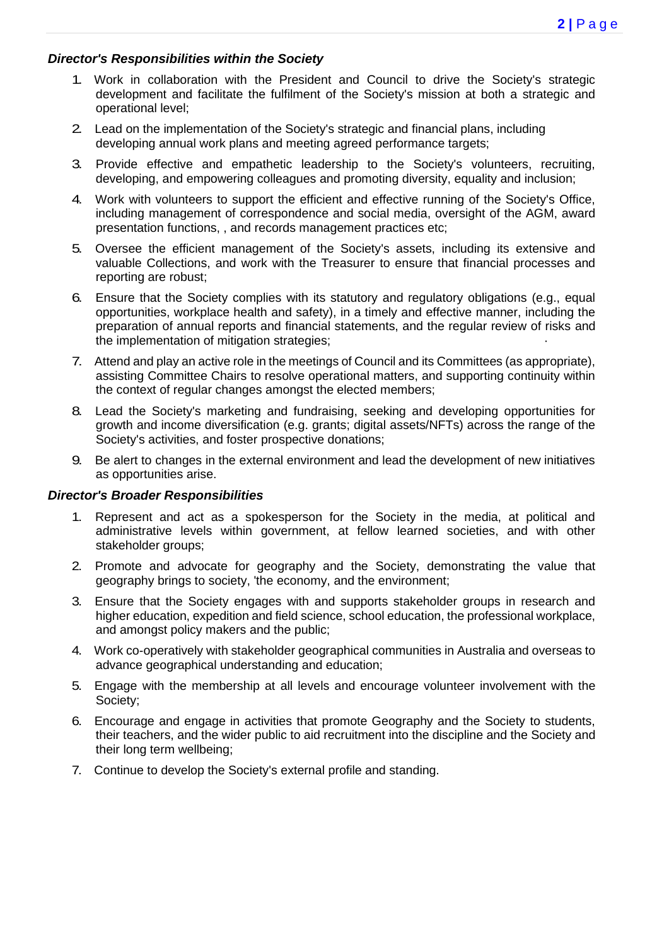#### *Director's Responsibilities within the Society*

- 1. Work in collaboration with the President and Council to drive the Society's strategic development and facilitate the fulfilment of the Society's mission at both a strategic and operational level;
- 2. Lead on the implementation of the Society's strategic and financial plans, including developing annual work plans and meeting agreed performance targets;
- 3. Provide effective and empathetic leadership to the Society's volunteers, recruiting, developing, and empowering colleagues and promoting diversity, equality and inclusion;
- 4. Work with volunteers to support the efficient and effective running of the Society's Office, including management of correspondence and social media, oversight of the AGM, award presentation functions, , and records management practices etc;
- 5. Oversee the efficient management of the Society's assets, including its extensive and valuable Collections, and work with the Treasurer to ensure that financial processes and reporting are robust;
- 6. Ensure that the Society complies with its statutory and regulatory obligations (e.g., equal opportunities, workplace health and safety), in a timely and effective manner, including the preparation of annual reports and financial statements, and the regular review of risks and the implementation of mitigation strategies;
- 7. Attend and play an active role in the meetings of Council and its Committees (as appropriate), assisting Committee Chairs to resolve operational matters, and supporting continuity within the context of regular changes amongst the elected members;
- 8. Lead the Society's marketing and fundraising, seeking and developing opportunities for growth and income diversification (e.g. grants; digital assets/NFTs) across the range of the Society's activities, and foster prospective donations;
- 9. Be alert to changes in the external environment and lead the development of new initiatives as opportunities arise.

#### *Director's Broader Responsibilities*

- 1. Represent and act as a spokesperson for the Society in the media, at political and administrative levels within government, at fellow learned societies, and with other stakeholder groups;
- 2. Promote and advocate for geography and the Society, demonstrating the value that geography brings to society, 'the economy, and the environment;
- 3. Ensure that the Society engages with and supports stakeholder groups in research and higher education, expedition and field science, school education, the professional workplace, and amongst policy makers and the public;
- 4. Work co-operatively with stakeholder geographical communities in Australia and overseas to advance geographical understanding and education;
- 5. Engage with the membership at all levels and encourage volunteer involvement with the Society;
- 6. Encourage and engage in activities that promote Geography and the Society to students, their teachers, and the wider public to aid recruitment into the discipline and the Society and their long term wellbeing;
- 7. Continue to develop the Society's external profile and standing.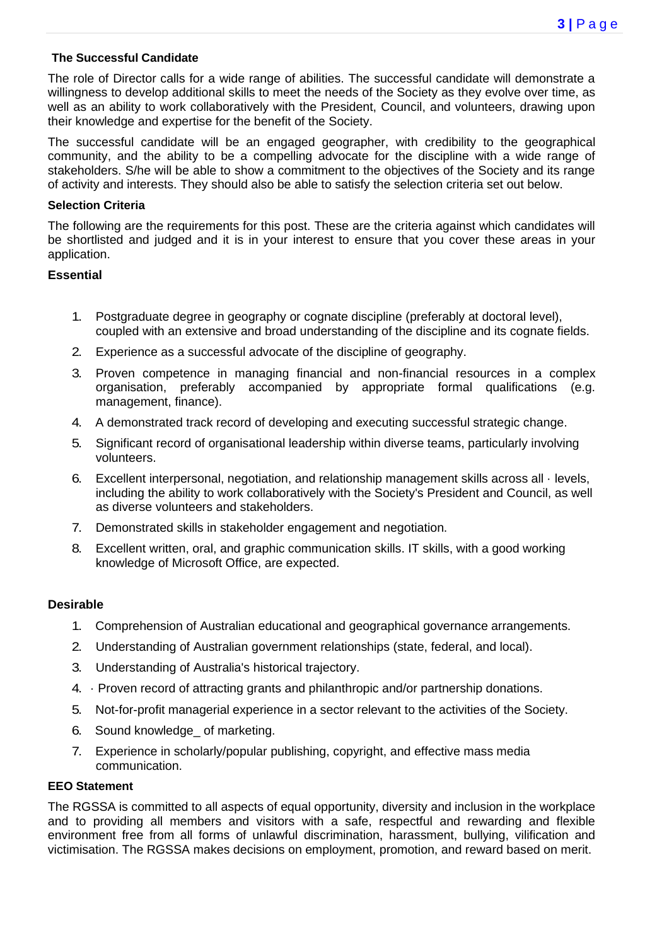#### **The Successful Candidate**

The role of Director calls for a wide range of abilities. The successful candidate will demonstrate a willingness to develop additional skills to meet the needs of the Society as they evolve over time, as well as an ability to work collaboratively with the President, Council, and volunteers, drawing upon their knowledge and expertise for the benefit of the Society.

The successful candidate will be an engaged geographer, with credibility to the geographical community, and the ability to be a compelling advocate for the discipline with a wide range of stakeholders. S/he will be able to show a commitment to the objectives of the Society and its range of activity and interests. They should also be able to satisfy the selection criteria set out below.

#### **Selection Criteria**

The following are the requirements for this post. These are the criteria against which candidates will be shortlisted and judged and it is in your interest to ensure that you cover these areas in your application.

#### **Essential**

- 1. Postgraduate degree in geography or cognate discipline (preferably at doctoral level), coupled with an extensive and broad understanding of the discipline and its cognate fields.
- 2. Experience as a successful advocate of the discipline of geography.
- 3. Proven competence in managing financial and non-financial resources in a complex organisation, preferably accompanied by appropriate formal qualifications (e.g. management, finance).
- 4. A demonstrated track record of developing and executing successful strategic change.
- 5. Significant record of organisational leadership within diverse teams, particularly involving volunteers.
- 6. Excellent interpersonal, negotiation, and relationship management skills across all · levels, including the ability to work collaboratively with the Society's President and Council, as well as diverse volunteers and stakeholders.
- 7. Demonstrated skills in stakeholder engagement and negotiation.
- 8. Excellent written, oral, and graphic communication skills. IT skills, with a good working knowledge of Microsoft Office, are expected.

#### **Desirable**

- 1. Comprehension of Australian educational and geographical governance arrangements.
- 2. Understanding of Australian government relationships (state, federal, and local).
- 3. Understanding of Australia's historical trajectory.
- 4. · Proven record of attracting grants and philanthropic and/or partnership donations.
- 5. Not-for-profit managerial experience in a sector relevant to the activities of the Society.
- 6. Sound knowledge\_ of marketing.
- 7. Experience in scholarly/popular publishing, copyright, and effective mass media communication.

#### **EEO Statement**

The RGSSA is committed to all aspects of equal opportunity, diversity and inclusion in the workplace and to providing all members and visitors with a safe, respectful and rewarding and flexible environment free from all forms of unlawful discrimination, harassment, bullying, vilification and victimisation. The RGSSA makes decisions on employment, promotion, and reward based on merit.